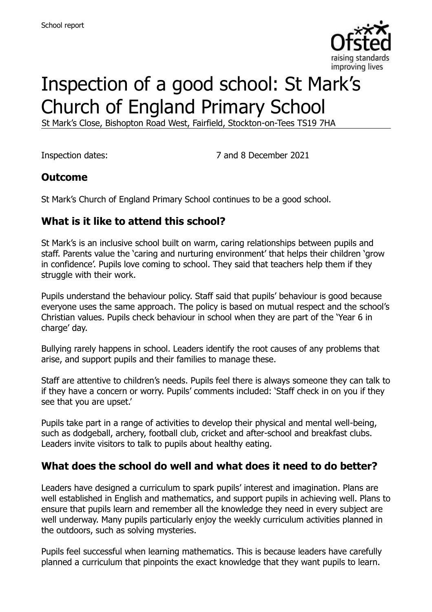

# Inspection of a good school: St Mark's Church of England Primary School

St Mark's Close, Bishopton Road West, Fairfield, Stockton-on-Tees TS19 7HA

Inspection dates: 7 and 8 December 2021

#### **Outcome**

St Mark's Church of England Primary School continues to be a good school.

#### **What is it like to attend this school?**

St Mark's is an inclusive school built on warm, caring relationships between pupils and staff. Parents value the 'caring and nurturing environment' that helps their children 'grow in confidence'. Pupils love coming to school. They said that teachers help them if they struggle with their work.

Pupils understand the behaviour policy. Staff said that pupils' behaviour is good because everyone uses the same approach. The policy is based on mutual respect and the school's Christian values. Pupils check behaviour in school when they are part of the 'Year 6 in charge' day.

Bullying rarely happens in school. Leaders identify the root causes of any problems that arise, and support pupils and their families to manage these.

Staff are attentive to children's needs. Pupils feel there is always someone they can talk to if they have a concern or worry. Pupils' comments included: 'Staff check in on you if they see that you are upset.'

Pupils take part in a range of activities to develop their physical and mental well-being, such as dodgeball, archery, football club, cricket and after-school and breakfast clubs. Leaders invite visitors to talk to pupils about healthy eating.

#### **What does the school do well and what does it need to do better?**

Leaders have designed a curriculum to spark pupils' interest and imagination. Plans are well established in English and mathematics, and support pupils in achieving well. Plans to ensure that pupils learn and remember all the knowledge they need in every subject are well underway. Many pupils particularly enjoy the weekly curriculum activities planned in the outdoors, such as solving mysteries.

Pupils feel successful when learning mathematics. This is because leaders have carefully planned a curriculum that pinpoints the exact knowledge that they want pupils to learn.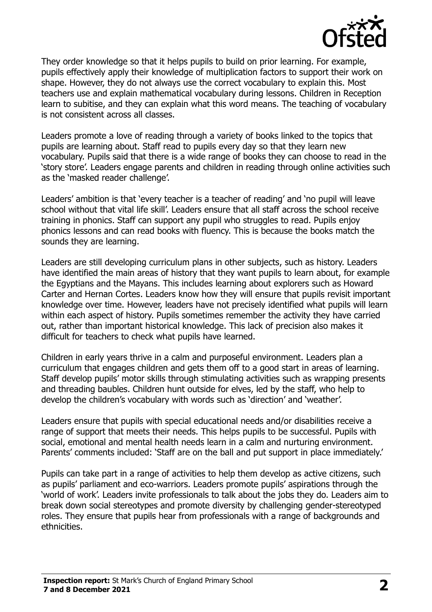

They order knowledge so that it helps pupils to build on prior learning. For example, pupils effectively apply their knowledge of multiplication factors to support their work on shape. However, they do not always use the correct vocabulary to explain this. Most teachers use and explain mathematical vocabulary during lessons. Children in Reception learn to subitise, and they can explain what this word means. The teaching of vocabulary is not consistent across all classes.

Leaders promote a love of reading through a variety of books linked to the topics that pupils are learning about. Staff read to pupils every day so that they learn new vocabulary. Pupils said that there is a wide range of books they can choose to read in the 'story store'. Leaders engage parents and children in reading through online activities such as the 'masked reader challenge'.

Leaders' ambition is that 'every teacher is a teacher of reading' and 'no pupil will leave school without that vital life skill'. Leaders ensure that all staff across the school receive training in phonics. Staff can support any pupil who struggles to read. Pupils enjoy phonics lessons and can read books with fluency. This is because the books match the sounds they are learning.

Leaders are still developing curriculum plans in other subjects, such as history. Leaders have identified the main areas of history that they want pupils to learn about, for example the Egyptians and the Mayans. This includes learning about explorers such as Howard Carter and Hernan Cortes. Leaders know how they will ensure that pupils revisit important knowledge over time. However, leaders have not precisely identified what pupils will learn within each aspect of history. Pupils sometimes remember the activity they have carried out, rather than important historical knowledge. This lack of precision also makes it difficult for teachers to check what pupils have learned.

Children in early years thrive in a calm and purposeful environment. Leaders plan a curriculum that engages children and gets them off to a good start in areas of learning. Staff develop pupils' motor skills through stimulating activities such as wrapping presents and threading baubles. Children hunt outside for elves, led by the staff, who help to develop the children's vocabulary with words such as 'direction' and 'weather'.

Leaders ensure that pupils with special educational needs and/or disabilities receive a range of support that meets their needs. This helps pupils to be successful. Pupils with social, emotional and mental health needs learn in a calm and nurturing environment. Parents' comments included: 'Staff are on the ball and put support in place immediately.'

Pupils can take part in a range of activities to help them develop as active citizens, such as pupils' parliament and eco-warriors. Leaders promote pupils' aspirations through the 'world of work'. Leaders invite professionals to talk about the jobs they do. Leaders aim to break down social stereotypes and promote diversity by challenging gender-stereotyped roles. They ensure that pupils hear from professionals with a range of backgrounds and ethnicities.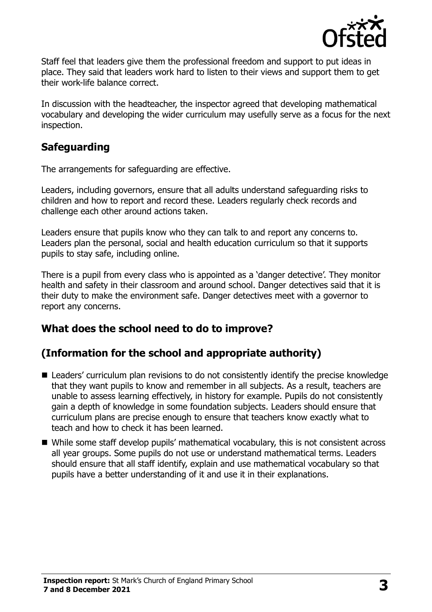

Staff feel that leaders give them the professional freedom and support to put ideas in place. They said that leaders work hard to listen to their views and support them to get their work-life balance correct.

In discussion with the headteacher, the inspector agreed that developing mathematical vocabulary and developing the wider curriculum may usefully serve as a focus for the next inspection.

### **Safeguarding**

The arrangements for safeguarding are effective.

Leaders, including governors, ensure that all adults understand safeguarding risks to children and how to report and record these. Leaders regularly check records and challenge each other around actions taken.

Leaders ensure that pupils know who they can talk to and report any concerns to. Leaders plan the personal, social and health education curriculum so that it supports pupils to stay safe, including online.

There is a pupil from every class who is appointed as a 'danger detective'. They monitor health and safety in their classroom and around school. Danger detectives said that it is their duty to make the environment safe. Danger detectives meet with a governor to report any concerns.

# **What does the school need to do to improve?**

# **(Information for the school and appropriate authority)**

- Leaders' curriculum plan revisions to do not consistently identify the precise knowledge that they want pupils to know and remember in all subjects. As a result, teachers are unable to assess learning effectively, in history for example. Pupils do not consistently gain a depth of knowledge in some foundation subjects. Leaders should ensure that curriculum plans are precise enough to ensure that teachers know exactly what to teach and how to check it has been learned.
- While some staff develop pupils' mathematical vocabulary, this is not consistent across all year groups. Some pupils do not use or understand mathematical terms. Leaders should ensure that all staff identify, explain and use mathematical vocabulary so that pupils have a better understanding of it and use it in their explanations.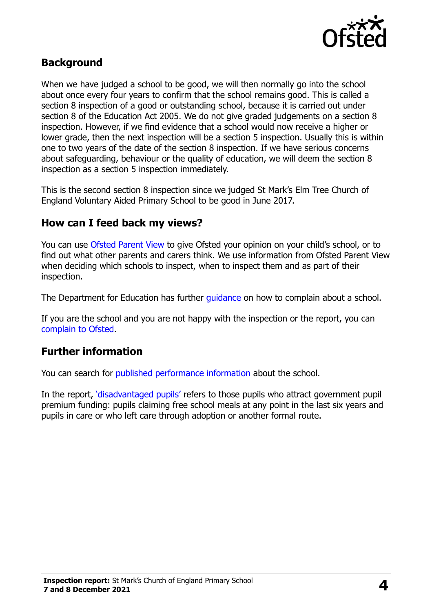

#### **Background**

When we have judged a school to be good, we will then normally go into the school about once every four years to confirm that the school remains good. This is called a section 8 inspection of a good or outstanding school, because it is carried out under section 8 of the Education Act 2005. We do not give graded judgements on a section 8 inspection. However, if we find evidence that a school would now receive a higher or lower grade, then the next inspection will be a section 5 inspection. Usually this is within one to two years of the date of the section 8 inspection. If we have serious concerns about safeguarding, behaviour or the quality of education, we will deem the section 8 inspection as a section 5 inspection immediately.

This is the second section 8 inspection since we judged St Mark's Elm Tree Church of England Voluntary Aided Primary School to be good in June 2017.

#### **How can I feed back my views?**

You can use [Ofsted Parent View](https://parentview.ofsted.gov.uk/) to give Ofsted your opinion on your child's school, or to find out what other parents and carers think. We use information from Ofsted Parent View when deciding which schools to inspect, when to inspect them and as part of their inspection.

The Department for Education has further quidance on how to complain about a school.

If you are the school and you are not happy with the inspection or the report, you can [complain to Ofsted.](https://www.gov.uk/complain-ofsted-report)

#### **Further information**

You can search for [published performance information](http://www.compare-school-performance.service.gov.uk/) about the school.

In the report, '[disadvantaged pupils](http://www.gov.uk/guidance/pupil-premium-information-for-schools-and-alternative-provision-settings)' refers to those pupils who attract government pupil premium funding: pupils claiming free school meals at any point in the last six years and pupils in care or who left care through adoption or another formal route.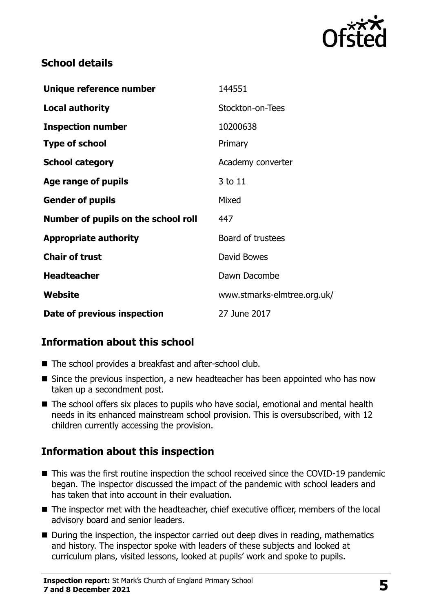

## **School details**

| Unique reference number             | 144551                      |
|-------------------------------------|-----------------------------|
| <b>Local authority</b>              | Stockton-on-Tees            |
| <b>Inspection number</b>            | 10200638                    |
| <b>Type of school</b>               | Primary                     |
| <b>School category</b>              | Academy converter           |
| Age range of pupils                 | 3 to 11                     |
| <b>Gender of pupils</b>             | Mixed                       |
| Number of pupils on the school roll | 447                         |
| <b>Appropriate authority</b>        | Board of trustees           |
| <b>Chair of trust</b>               | David Bowes                 |
| <b>Headteacher</b>                  | Dawn Dacombe                |
| Website                             | www.stmarks-elmtree.org.uk/ |
| Date of previous inspection         | 27 June 2017                |

# **Information about this school**

- The school provides a breakfast and after-school club.
- Since the previous inspection, a new headteacher has been appointed who has now taken up a secondment post.
- The school offers six places to pupils who have social, emotional and mental health needs in its enhanced mainstream school provision. This is oversubscribed, with 12 children currently accessing the provision.

# **Information about this inspection**

- This was the first routine inspection the school received since the COVID-19 pandemic began. The inspector discussed the impact of the pandemic with school leaders and has taken that into account in their evaluation.
- The inspector met with the headteacher, chief executive officer, members of the local advisory board and senior leaders.
- During the inspection, the inspector carried out deep dives in reading, mathematics and history. The inspector spoke with leaders of these subjects and looked at curriculum plans, visited lessons, looked at pupils' work and spoke to pupils.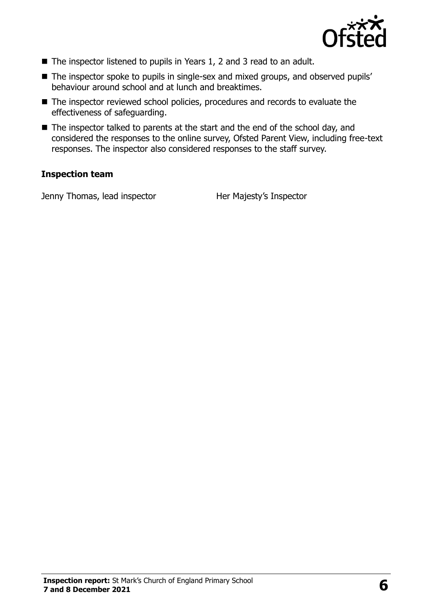

- The inspector listened to pupils in Years 1, 2 and 3 read to an adult.
- The inspector spoke to pupils in single-sex and mixed groups, and observed pupils' behaviour around school and at lunch and breaktimes.
- The inspector reviewed school policies, procedures and records to evaluate the effectiveness of safeguarding.
- The inspector talked to parents at the start and the end of the school day, and considered the responses to the online survey, Ofsted Parent View, including free-text responses. The inspector also considered responses to the staff survey.

#### **Inspection team**

Jenny Thomas, lead inspector **Her Majesty's Inspector**